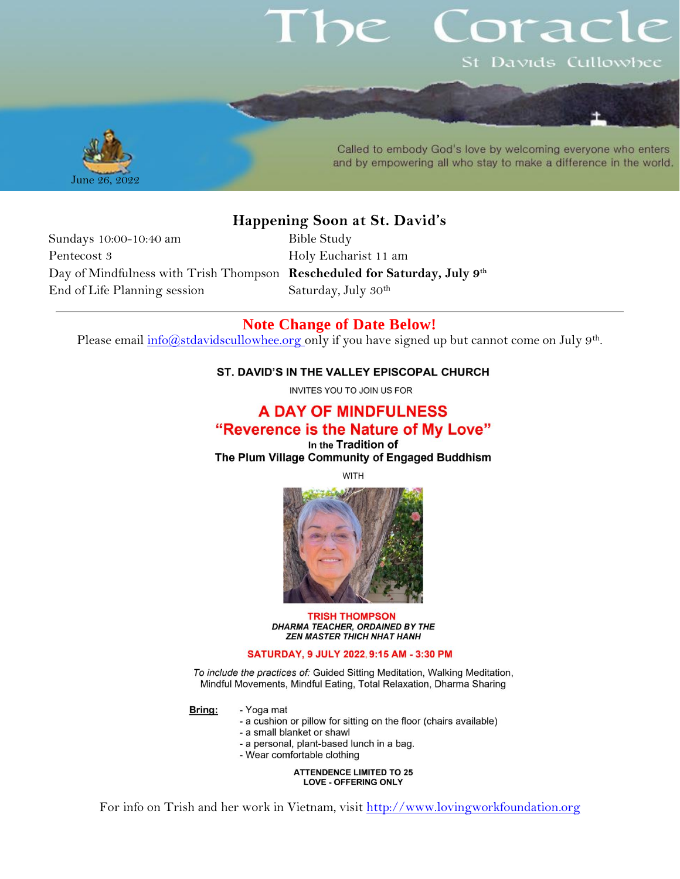# orac St Davids Cullowhee



Called to embody God's love by welcoming everyone who enters and by empowering all who stay to make a difference in the world.

## **Happening Soon at St. David's**

Sundays 10:00-10:40 am Bible Study Pentecost 3 Holy Eucharist 11 am Day of Mindfulness with Trish Thompson **Rescheduled for Saturday, July 9th** End of Life Planning session Saturday, July 30<sup>th</sup>

## **Note Change of Date Below!**

Please email [info@stdavidscullowhee.org](mailto:info@stdavidscullowhee.org) only if you have signed up but cannot come on July 9<sup>th</sup>.

#### ST. DAVID'S IN THE VALLEY EPISCOPAL CHURCH

INVITES YOU TO JOIN US FOR

## **A DAY OF MINDFULNESS** "Reverence is the Nature of My Love"

In the Tradition of The Plum Village Community of Engaged Buddhism

**WITH** 



#### **TRISH THOMPSON** DHARMA TEACHER, ORDAINED BY THE **ZEN MASTER THICH NHAT HANH**

#### SATURDAY, 9 JULY 2022, 9:15 AM - 3:30 PM

To include the practices of: Guided Sitting Meditation, Walking Meditation, Mindful Movements, Mindful Eating, Total Relaxation, Dharma Sharing

Bring:

- Yoga mat
	- a cushion or pillow for sitting on the floor (chairs available)
	- a small blanket or shawl
	- a personal, plant-based lunch in a bag.
	- Wear comfortable clothing

**ATTENDENCE LIMITED TO 25 LOVE - OFFERING ONLY** 

For info on Trish and her work in Vietnam, visit [http://www.lovingworkfoundation.org](http://www.lovingworkfoundation.org/)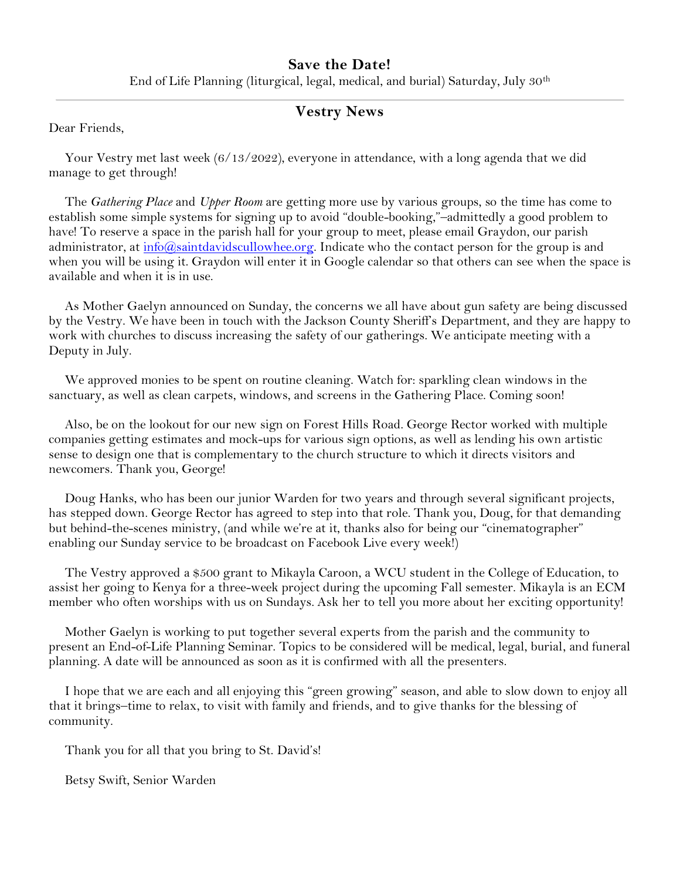### **Save the Date!**

End of Life Planning (liturgical, legal, medical, and burial) Saturday, July 30th

## **Vestry News**

Dear Friends,

Your Vestry met last week (6/13/2022), everyone in attendance, with a long agenda that we did manage to get through!

The *Gathering Place* and *Upper Room* are getting more use by various groups, so the time has come to establish some simple systems for signing up to avoid "double-booking,"–admittedly a good problem to have! To reserve a space in the parish hall for your group to meet, please email Graydon, our parish administrator, at  $\frac{info(Q)$ saintdavidscullowhee.org. Indicate who the contact person for the group is and when you will be using it. Graydon will enter it in Google calendar so that others can see when the space is available and when it is in use.

As Mother Gaelyn announced on Sunday, the concerns we all have about gun safety are being discussed by the Vestry. We have been in touch with the Jackson County Sheriff's Department, and they are happy to work with churches to discuss increasing the safety of our gatherings. We anticipate meeting with a Deputy in July.

We approved monies to be spent on routine cleaning. Watch for: sparkling clean windows in the sanctuary, as well as clean carpets, windows, and screens in the Gathering Place. Coming soon!

Also, be on the lookout for our new sign on Forest Hills Road. George Rector worked with multiple companies getting estimates and mock-ups for various sign options, as well as lending his own artistic sense to design one that is complementary to the church structure to which it directs visitors and newcomers. Thank you, George!

Doug Hanks, who has been our junior Warden for two years and through several significant projects, has stepped down. George Rector has agreed to step into that role. Thank you, Doug, for that demanding but behind-the-scenes ministry, (and while we're at it, thanks also for being our "cinematographer" enabling our Sunday service to be broadcast on Facebook Live every week!)

The Vestry approved a \$500 grant to Mikayla Caroon, a WCU student in the College of Education, to assist her going to Kenya for a three-week project during the upcoming Fall semester. Mikayla is an ECM member who often worships with us on Sundays. Ask her to tell you more about her exciting opportunity!

Mother Gaelyn is working to put together several experts from the parish and the community to present an End-of-Life Planning Seminar. Topics to be considered will be medical, legal, burial, and funeral planning. A date will be announced as soon as it is confirmed with all the presenters.

I hope that we are each and all enjoying this "green growing" season, and able to slow down to enjoy all that it brings–time to relax, to visit with family and friends, and to give thanks for the blessing of community.

Thank you for all that you bring to St. David's!

Betsy Swift, Senior Warden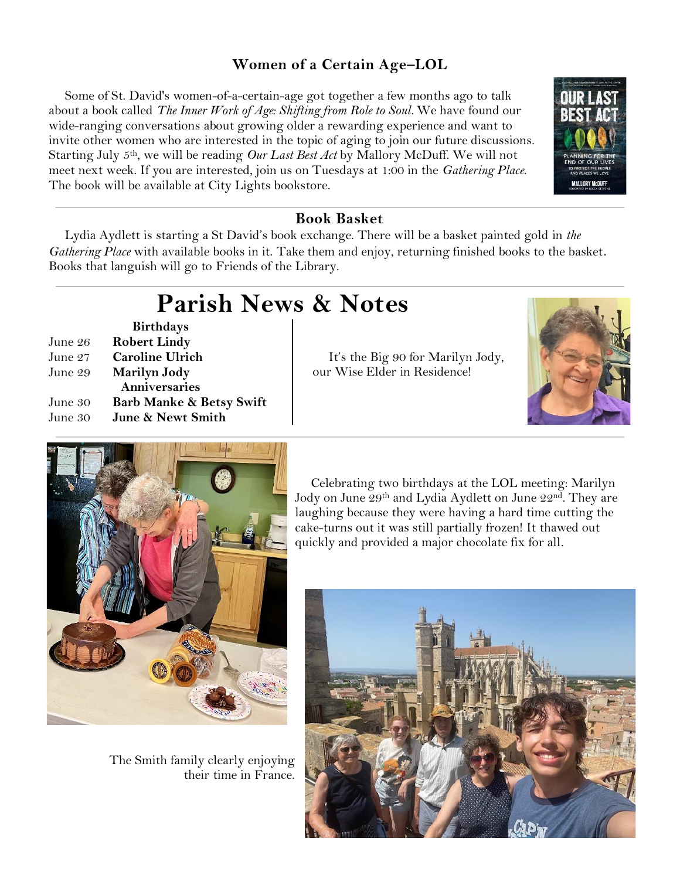## **Women of a Certain Age–LOL**

Some of St. David's women-of-a-certain-age got together a few months ago to talk about a book called *The Inner Work of Age: Shifting from Role to Soul.* We have found our wide-ranging conversations about growing older a rewarding experience and want to invite other women who are interested in the topic of aging to join our future discussions. Starting July 5<sup>th</sup>, we will be reading *Our Last Best Act* by Mallory McDuff. We will not meet next week. If you are interested, join us on Tuesdays at 1:00 in the *Gathering Place*. The book will be available at City Lights bookstore.



## **Book Basket**

Lydia Aydlett is starting a St David's book exchange. There will be a basket painted gold in *the Gathering Place* with available books in it. Take them and enjoy, returning finished books to the basket. Books that languish will go to Friends of the Library.

# **Parish News & Notes**

**Birthdays** June 26 **Robert Lindy** June 27 **Caroline Ulrich** June 29 **Marilyn Jody Anniversaries** June 30 **Barb Manke & Betsy Swift** June 30 **June & Newt Smith**

It's the Big 90 for Marilyn Jody, our Wise Elder in Residence!





The Smith family clearly enjoying their time in France.

Celebrating two birthdays at the LOL meeting: Marilyn Jody on June 29<sup>th</sup> and Lydia Aydlett on June 22<sup>nd</sup>. They are laughing because they were having a hard time cutting the cake-turns out it was still partially frozen! It thawed out quickly and provided a major chocolate fix for all.

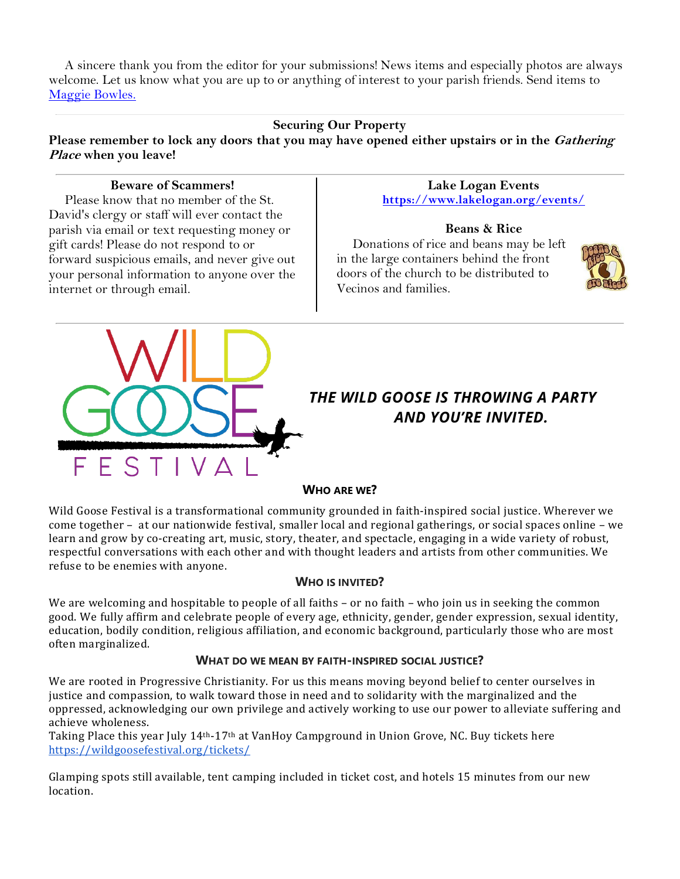A sincere thank you from the editor for your submissions! News items and especially photos are always welcome. Let us know what you are up to or anything of interest to your parish friends. Send items to [Maggie Bowles.](mailto:magbowles@gmail.com)

#### **Securing Our Property**

Please remember to lock any doors that you may have opened either upstairs or in the *Gathering* **Place when you leave!**

#### **Beware of Scammers!**

Please know that no member of the St. David's clergy or staff will ever contact the parish via email or text requesting money or gift cards! Please do not respond to or forward suspicious emails, and never give out your personal information to anyone over the internet or through email.

#### **Lake Logan Events <https://www.lakelogan.org/events/>**

#### **Beans & Rice**

Donations of rice and beans may be left in the large containers behind the front doors of the church to be distributed to Vecinos and families.





## *THE WILD GOOSE IS THROWING A PARTY AND YOU'RE INVITED.*

#### **WHO ARE WE?**

Wild Goose Festival is a transformational community grounded in faith-inspired social justice. Wherever we come together – at our nationwide festival, smaller local and regional gatherings, or social spaces online – we learn and grow by co-creating art, music, story, theater, and spectacle, engaging in a wide variety of robust, respectful conversations with each other and with thought leaders and artists from other communities. We refuse to be enemies with anyone.

#### **WHO IS INVITED?**

We are welcoming and hospitable to people of all faiths – or no faith – who join us in seeking the common good. We fully affirm and celebrate people of every age, ethnicity, gender, gender expression, sexual identity, education, bodily condition, religious affiliation, and economic background, particularly those who are most often marginalized.

#### **WHAT DO WE MEAN BY FAITH-INSPIRED SOCIAL JUSTICE?**

We are rooted in Progressive Christianity. For us this means moving beyond belief to center ourselves in justice and compassion, to walk toward those in need and to solidarity with the marginalized and the oppressed, acknowledging our own privilege and actively working to use our power to alleviate suffering and achieve wholeness.

Taking Place this year July 14th-17th at VanHoy Campground in Union Grove, NC. Buy tickets here <https://wildgoosefestival.org/tickets/>

Glamping spots still available, tent camping included in ticket cost, and hotels 15 minutes from our new location.